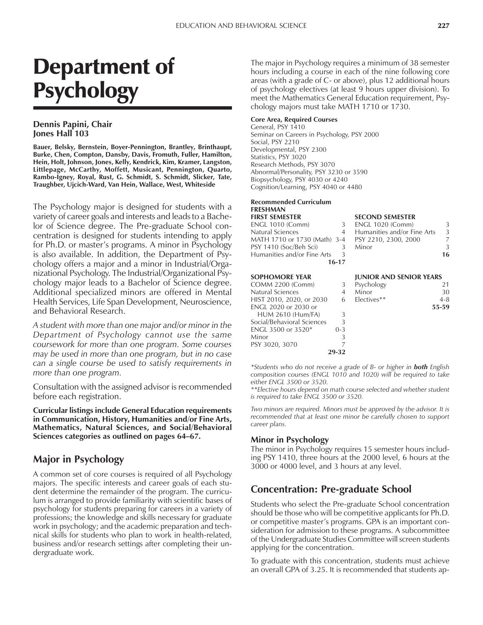# Department of Psychology

# **Dennis Papini, Chair Jones Hall 103**

**Bauer, Belsky, Bernstein, Boyer-Pennington, Brantley, Brinthaupt, Burke, Chen, Compton, Dansby, Davis, Fromuth, Fuller, Hamilton, Hein, Holt, Johnson, Jones, Kelly, Kendrick, Kim, Kramer, Langston, Littlepage, McCarthy, Moffett, Musicant, Pennington, Quarto, Rambo-Igney, Royal, Rust, G. Schmidt, S. Schmidt, Slicker, Tate, Traughber, Ujcich-Ward, Van Hein, Wallace, West, Whiteside**

The Psychology major is designed for students with a variety of career goals and interests and leads to a Bachelor of Science degree. The Pre-graduate School concentration is designed for students intending to apply for Ph.D. or master's programs. A minor in Psychology is also available. In addition, the Department of Psychology offers a major and a minor in Industrial/Organizational Psychology. The Industrial/Organizational Psychology major leads to a Bachelor of Science degree. Additional specialized minors are offered in Mental Health Services, Life Span Development, Neuroscience, and Behavioral Research.

*A student with more than one major and/or minor in the Department of Psychology cannot use the same coursework for more than one program. Some courses may be used in more than one program, but in no case can a single course be used to satisfy requirements in more than one program.*

Consultation with the assigned advisor is recommended before each registration.

**Curricular listings include General Education requirements in Communication, History, Humanities and/or Fine Arts, Mathematics, Natural Sciences, and Social/Behavioral** Sciences categories as outlined on pages 64–67.

# **Major in Psychology**

A common set of core courses is required of all Psychology majors. The specific interests and career goals of each student determine the remainder of the program. The curriculum is arranged to provide familiarity with scientific bases of psychology for students preparing for careers in a variety of professions; the knowledge and skills necessary for graduate work in psychology; and the academic preparation and technical skills for students who plan to work in health-related, business and/or research settings after completing their undergraduate work.

The major in Psychology requires a minimum of 38 semester hours including a course in each of the nine following core areas (with a grade of C- or above), plus 12 additional hours of psychology electives (at least 9 hours upper division). To meet the Mathematics General Education requirement, Psychology majors must take MATH 1710 or 1730.

#### **Core Area, Required Courses**

General, PSY 1410 Seminar on Careers in Psychology, PSY 2000 Social, PSY 2210 Developmental, PSY 2300 Statistics, PSY 3020 Research Methods, PSY 3070 Abnormal/Personality, PSY 3230 or 3590 Biopsychology, PSY 4030 or 4240 Cognition/Learning, PSY 4040 or 4480

# **Recommended Curriculum FRESHMAN**

| <b>FIRST SEMESTER</b>                             |       | <b>SECOND SEMESTER</b>      |    |
|---------------------------------------------------|-------|-----------------------------|----|
| ENGL 1010 (Comm)                                  | 3     | <b>ENGL 1020 (Comm)</b>     | 3  |
| Natural Sciences                                  | 4     | Humanities and/or Fine Arts | 3  |
| MATH 1710 or 1730 (Math) 3-4 PSY 2210, 2300, 2000 |       |                             | 7  |
| PSY 1410 (Soc/Beh Sci) -                          |       | Minor                       | 3  |
| Humanities and/or Fine Arts                       |       |                             | 16 |
|                                                   | 16-17 |                             |    |

|         | Psychology  | 21      |
|---------|-------------|---------|
|         | Minor       | 30      |
|         | Electives** | $4 - 8$ |
|         |             | 55-59   |
| 3       |             |         |
| 3       |             |         |
| $0 - 3$ |             |         |
| 3       |             |         |
|         |             |         |
| 29-32   |             |         |
|         |             |         |

| Humanities and/or Fine Arts | 3  |
|-----------------------------|----|
| PSY 2210, 2300, 2000        |    |
| Minor                       | 3  |
|                             | 16 |
|                             |    |
|                             |    |

#### **SOPHOMORE YEAR JUNIOR AND SENIOR YEARS**

| Psychology  | 21    |
|-------------|-------|
| Minor       | 30    |
| Electives** | 4-8   |
|             | 55-59 |

*\*Students who do not receive a grade of B- or higher in both English composition courses (ENGL 1010 and 1020) will be required to take either ENGL 3500 or 3520.*

*\*\*Elective hours depend on math course selected and whether student is required to take ENGL 3500 or 3520.*

*Two minors are required. Minors must be approved by the advisor. It is recommended that at least one minor be carefully chosen to support career plans.*

# **Minor in Psychology**

The minor in Psychology requires 15 semester hours including PSY 1410, three hours at the 2000 level, 6 hours at the 3000 or 4000 level, and 3 hours at any level.

# **Concentration: Pre-graduate School**

Students who select the Pre-graduate School concentration should be those who will be competitive applicants for Ph.D. or competitive master's programs. GPA is an important consideration for admission to these programs. A subcommittee of the Undergraduate Studies Committee will screen students applying for the concentration.

To graduate with this concentration, students must achieve an overall GPA of 3.25. It is recommended that students ap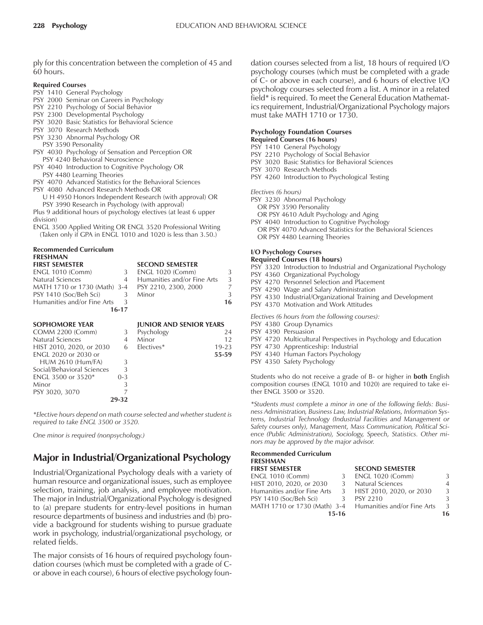ply for this concentration between the completion of 45 and 60 hours.

#### **Required Courses**

- PSY 1410 General Psychology
- PSY 2000 Seminar on Careers in Psychology
- PSY 2210 Psychology of Social Behavior
- PSY 2300 Developmental Psychology
- PSY 3020 Basic Statistics for Behavioral Science
- PSY 3070 Research Methods
- PSY 3230 Abnormal Psychology OR
- PSY 3590 Personality
- PSY 4030 Psychology of Sensation and Perception OR PSY 4240 Behavioral Neuroscience

PSY 4040 Introduction to Cognitive Psychology OR PSY 4480 Learning Theories

- PSY 4070 Advanced Statistics for the Behavioral Sciences
- PSY 4080 Advanced Research Methods OR
	- U H 4950 Honors Independent Research (with approval) OR PSY 3990 Research in Psychology (with approval)

Plus 9 additional hours of psychology electives (at least 6 upper division)

ENGL 3500 Applied Writing OR ENGL 3520 Professional Writing (Taken only if GPA in ENGL 1010 and 1020 is less than 3.50.)

**EECOND SEMESTER** 

# **Recommended Curriculum FRESHMAN**

| <b>ENGL 1010 (Comm)</b>      | 3         | <b>ENGL 1020 (Comm)</b>        | 3         |
|------------------------------|-----------|--------------------------------|-----------|
| Natural Sciences             | 4         | Humanities and/or Fine Arts    | 3         |
| MATH 1710 or 1730 (Math) 3-4 |           | PSY 2210, 2300, 2000           | 7         |
| PSY 1410 (Soc/Beh Sci)       | 3         | Minor                          | 3         |
| Humanities and/or Fine Arts  | 3         |                                | 16        |
|                              | $16 - 17$ |                                |           |
| <b>SOPHOMORE YEAR</b>        |           | <b>JUNIOR AND SENIOR YEARS</b> |           |
| COMM 2200 (Comm)             | 3         | Psychology                     | 24        |
| Natural Sciences             | 4         | Minor                          | 12        |
| HIST 2010, 2020, or 2030     | 6         | Electives*                     | $19 - 23$ |
| <b>ENGL 2020 or 2030 or</b>  |           |                                | 55-59     |
| <b>HUM 2610 (Hum/FA)</b>     | 3         |                                |           |
| Social/Behavioral Sciences   | 3         |                                |           |
| ENGL 3500 or 3520*           | $0 - 3$   |                                |           |
| Minor                        | 3         |                                |           |
| PSY 3020, 3070               |           |                                |           |

*\*Elective hours depend on math course selected and whether student is required to take ENGL 3500 or 3520.*

**29-32**

*One minor is required (nonpsychology.)*

# **Major in Industrial/Organizational Psychology**

Industrial/Organizational Psychology deals with a variety of human resource and organizational issues, such as employee selection, training, job analysis, and employee motivation. The major in Industrial/Organizational Psychology is designed to (a) prepare students for entry-level positions in human resource departments of business and industries and (b) provide a background for students wishing to pursue graduate work in psychology, industrial/organizational psychology, or related fields.

The major consists of 16 hours of required psychology foundation courses (which must be completed with a grade of Cor above in each course), 6 hours of elective psychology foundation courses selected from a list, 18 hours of required I/O psychology courses (which must be completed with a grade of C- or above in each course), and 6 hours of elective I/O psychology courses selected from a list. A minor in a related field\* is required. To meet the General Education Mathematics requirement, Industrial/Organizational Psychology majors must take MATH 1710 or 1730.

#### **Psychology Foundation Courses**

- **Required Courses (16 hours)**
- PSY 1410 General Psychology
- PSY 2210 Psychology of Social Behavior
- PSY 3020 Basic Statistics for Behavioral Sciences
- PSY 3070 Research Methods
- PSY 4260 Introduction to Psychological Testing

*Electives (6 hours)*

- PSY 3230 Abnormal Psychology
	- OR PSY 3590 Personality
	- OR PSY 4610 Adult Psychology and Aging
- PSY 4040 Introduction to Cognitive Psychology OR PSY 4070 Advanced Statistics for the Behavioral Sciences OR PSY 4480 Learning Theories

#### **I/O Psychology Courses Required Courses (18 hours)**

PSY 3320 Introduction to Industrial and Organizational Psychology

- PSY 4360 Organizational Psychology
- PSY 4270 Personnel Selection and Placement
- PSY 4290 Wage and Salary Administration
- PSY 4330 Industrial/Organizational Training and Development
- PSY 4370 Motivation and Work Attitudes

*Electives (6 hours from the following courses):*

- PSY 4380 Group Dynamics
- PSY 4390 Persuasion
- PSY 4720 Multicultural Perspectives in Psychology and Education
- PSY 4730 Apprenticeship: Industrial
- PSY 4340 Human Factors Psychology
- PSY 4350 Safety Psychology

Students who do not receive a grade of B- or higher in **both** English composition courses (ENGL 1010 and 1020) are required to take either ENGL 3500 or 3520.

*\*Students must complete a minor in one of the following fields: Business Administration, Business Law, Industrial Relations, Information Systems, Industrial Technology (Industrial Facilities and Management or Safety courses only), Management, Mass Communication, Political Science (Public Administration), Sociology, Speech, Statistics. Other minors may be approved by the major advisor.*

#### **Recommended Curriculum FRESHMAN**

| <b>FIRST SEMESTER</b>       |       | <b>SECOND SEMESTER</b>                                   |               |
|-----------------------------|-------|----------------------------------------------------------|---------------|
| ENGL 1010 (Comm)            | 3     | <b>ENGL 1020 (Comm)</b>                                  | 3             |
| HIST 2010, 2020, or 2030    | 3     | Natural Sciences                                         | 4             |
| Humanities and/or Fine Arts |       | 3 HIST 2010, 2020, or 2030                               | 3             |
| PSY 1410 (Soc/Beh Sci)      | 3     | PSY 2210                                                 | $\mathcal{L}$ |
|                             |       | MATH 1710 or 1730 (Math) 3-4 Humanities and/or Fine Arts | 3             |
|                             | 15-16 |                                                          | 16            |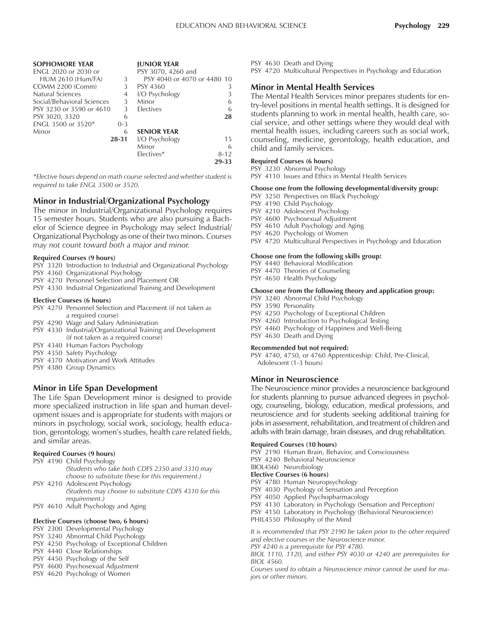| <b>SOPHOMORE YEAR</b>       |           | <b>JUNIOR YEAR</b>          |          |
|-----------------------------|-----------|-----------------------------|----------|
| <b>ENGL 2020 or 2030 or</b> |           | PSY 3070, 4260 and          |          |
| <b>HUM 2610 (Hum/FA)</b>    | 3         | PSY 4040 or 4070 or 4480 10 |          |
| COMM 2200 (Comm)            | 3         | PSY 4360                    | 3        |
| Natural Sciences            | 4         | I/O Psychology              |          |
| Social/Behavioral Sciences  | 3         | Minor                       | 6        |
| PSY 3230 or 3590 or 4610    | 3         | Electives                   | 6        |
| PSY 3020, 3320              | 6         |                             | 28       |
| <b>ENGL 3500 or 3520*</b>   | $0 - 3$   |                             |          |
| Minor                       | 6         | <b>SENIOR YEAR</b>          |          |
|                             | $28 - 31$ | I/O Psychology              | 15       |
|                             |           | Minor                       | 6        |
|                             |           | Electives*                  | $8 - 12$ |
|                             |           |                             | 29-33    |

*\*Elective hours depend on math course selected and whether student is required to take ENGL 3500 or 3520.*

# **Minor in Industrial/Organizational Psychology**

The minor in Industrial/Organizational Psychology requires 15 semester hours. Students who are also pursuing a Bachelor of Science degree in Psychology may select Industrial/ Organizational Psychology as one of their two minors. *Courses may not count toward both a major and minor.*

#### **Required Courses (9 hours)**

- PSY 3320 Introduction to Industrial and Organizational Psychology
- PSY 4360 Organizational Psychology
- PSY 4270 Personnel Selection and Placement OR
- PSY 4330 Industrial Organizational Training and Development

#### **Elective Courses (6 hours)**

PSY 4270 Personnel Selection and Placement (if not taken as a required course)

- PSY 4290 Wage and Salary Administration
- PSY 4330 Industrial/Organizational Training and Development (if not taken as a required course)
- PSY 4340 Human Factors Psychology
- PSY 4350 Safety Psychology
- PSY 4370 Motivation and Work Attitudes
- PSY 4380 Group Dynamics

# **Minor in Life Span Development**

The Life Span Development minor is designed to provide more specialized instruction in life span and human development issues and is appropriate for students with majors or minors in psychology, social work, sociology, health education, gerontology, women's studies, health care related fields, and similar areas.

#### **Required Courses (9 hours)**

- PSY 4190 Child Psychology *(Students who take both CDFS 2350 and 3310 may choose to substitute these for this requirement.)*
- PSY 4210 Adolescent Psychology *(Students may choose to substitute CDFS 4310 for this requirement.)*
- PSY 4610 Adult Psychology and Aging

#### **Elective Courses (choose two, 6 hours)**

- PSY 2300 Developmental Psychology
- PSY 3240 Abnormal Child Psychology
- PSY 4250 Psychology of Exceptional Children
- PSY 4440 Close Relationships
- PSY 4450 Psychology of the Self
- PSY 4600 Psychosexual Adjustment
- PSY 4620 Psychology of Women

PSY 4630 Death and Dying

PSY 4720 Multicultural Perspectives in Psychology and Education

# **Minor in Mental Health Services**

The Mental Health Services minor prepares students for entry-level positions in mental health settings. It is designed for students planning to work in mental health, health care, social service, and other settings where they would deal with mental health issues, including careers such as social work, counseling, medicine, gerontology, health education, and child and family services.

#### **Required Courses (6 hours)**

PSY 3230 Abnormal Psychology PSY 4110 Issues and Ethics in Mental Health Services

#### **Choose one from the following developmental/diversity group:**

- PSY 3250 Perspectives on Black Psychology
- PSY 4190 Child Psychology
- PSY 4210 Adolescent Psychology
- PSY 4600 Psychosexual Adjustment
- PSY 4610 Adult Psychology and Aging
- PSY 4620 Psychology of Women
- PSY 4720 Multicultural Perspectives in Psychology and Education

#### **Choose one from the following skills group:**

PSY 4440 Behavioral Modification

- PSY 4470 Theories of Counseling
- PSY 4650 Health Psychology

## **Choose one from the following theory and application group:**

- PSY 3240 Abnormal Child Psychology
- PSY 3590 Personality
- PSY 4250 Psychology of Exceptional Children
- PSY 4260 Introduction to Psychological Testing
- PSY 4460 Psychology of Happiness and Well-Being
- PSY 4630 Death and Dying

#### **Recommended but not required:**

PSY 4740, 4750, or 4760 Apprenticeship: Child, Pre-Clinical, Adolescent (1-3 hours)

#### **Minor in Neuroscience**

The Neuroscience minor provides a neuroscience background for students planning to pursue advanced degrees in psychology, counseling, biology, education, medical professions, and neuroscience and for students seeking additional training for jobs in assessment, rehabilitation, and treatment of children and adults with brain damage, brain diseases, and drug rehabilitation.

#### **Required Courses (10 hours)**

PSY 2190 Human Brain, Behavior, and Consciousness PSY 4240 Behavioral Neuroscience BIOL4560 Neurobiology **Elective Courses (6 hours)** PSY 4780 Human Neuropsychology PSY 4030 Psychology of Sensation and Perception PSY 4050 Applied Psychopharmacology PSY 4130 Laboratory in Psychology (Sensation and Perception) PSY 4150 Laboratory in Psychology (Behavioral Neuroscience) PHIL4550 Philosophy of the Mind *It is recommended that PSY 2190 be taken prior to the other required and elective courses in the Neuroscience minor.*

*PSY 4240 is a prerequisite for PSY 4780.*

*BIOL 1110, 1120, and either PSY 4030 or 4240 are prerequisites for BIOL 4560.*

*Courses used to obtain a Neuroscience minor cannot be used for majors or other minors.*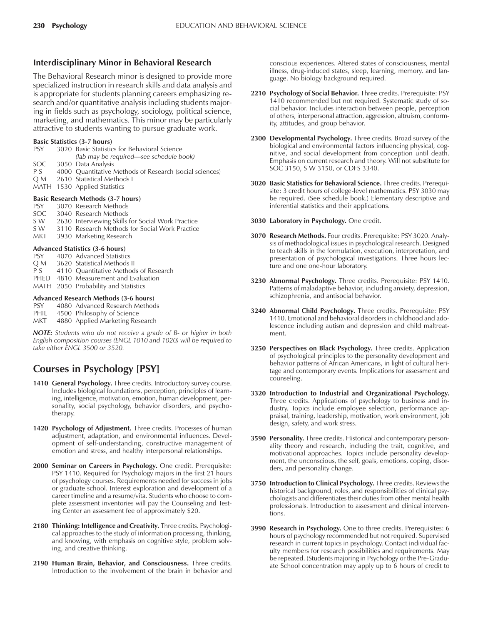# **Interdisciplinary Minor in Behavioral Research**

The Behavioral Research minor is designed to provide more specialized instruction in research skills and data analysis and is appropriate for students planning careers emphasizing research and/or quantitative analysis including students majoring in fields such as psychology, sociology, political science, marketing, and mathematics. This minor may be particularly attractive to students wanting to pursue graduate work.

#### **Basic Statistics (3-7 hours)**

PSY 3020 Basic Statistics for Behavioral Science (lab may be required—see schedule book) SOC 3050 Data Analysis P S 4000 Quantitative Methods of Research (social sciences) Q M 2610 Statistical Methods I MATH 1530 Applied Statistics **Basic Research Methods (3-7 hours)**

| <b>PSY</b> | 3070 Research Methods     |
|------------|---------------------------|
|            | SOC 3040 Research Methods |
|            |                           |

- S W 2630 Interviewing Skills for Social Work Practice<br>S W 3110 Research Methods for Social Work Practice
- 3110 Research Methods for Social Work Practice
- MKT 3930 Marketing Research

#### **Advanced Statistics (3-6 hours)**

- PSY 4070 Advanced Statistics Q M 3620 Statistical Methods II
- P S 4110 Quantitative Methods of Research
- PHED 4810 Measurement and Evaluation
- MATH 2050 Probability and Statistics

## **Advanced Research Methods (3-6 hours)**

- PSY 4080 Advanced Research Methods
- PHIL 4500 Philosophy of Science
- MKT 4880 Applied Marketing Research

*NOTE: Students who do not receive a grade of B- or higher in both English composition courses (ENGL 1010 and 1020) will be required to take either ENGL 3500 or 3520.*

# **Courses in Psychology [PSY]**

- **1410 General Psychology.** Three credits. Introductory survey course. Includes biological foundations, perception, principles of learning, intelligence, motivation, emotion, human development, personality, social psychology, behavior disorders, and psychotherapy.
- **1420 Psychology of Adjustment.** Three credits. Processes of human adjustment, adaptation, and environmental influences. Development of self-understanding, constructive management of emotion and stress, and healthy interpersonal relationships.
- **2000 Seminar on Careers in Psychology.** One credit. Prerequisite: PSY 1410. Required for Psychology majors in the first 21 hours of psychology courses. Requirements needed for success in jobs or graduate school. Interest exploration and development of a career timeline and a resume/vita. Students who choose to complete assessment inventories will pay the Counseling and Testing Center an assessment fee of approximately \$20.
- **2180 Thinking: Intelligence and Creativity.** Three credits. Psychological approaches to the study of information processing, thinking, and knowing, with emphasis on cognitive style, problem solving, and creative thinking.
- **2190 Human Brain, Behavior, and Consciousness.** Three credits. Introduction to the involvement of the brain in behavior and

conscious experiences. Altered states of consciousness, mental illness, drug-induced states, sleep, learning, memory, and language. No biology background required.

- **2210 Psychology of Social Behavior.** Three credits. Prerequisite: PSY 1410 recommended but not required. Systematic study of social behavior. Includes interaction between people, perception of others, interpersonal attraction, aggression, altruism, conformity, attitudes, and group behavior.
- **2300 Developmental Psychology.** Three credits. Broad survey of the biological and environmental factors influencing physical, cognitive, and social development from conception until death. Emphasis on current research and theory. Will not substitute for SOC 3150, S W 3150, or CDFS 3340.
- **3020 Basic Statistics for Behavioral Science.** Three credits. Prerequisite: 3 credit hours of college-level mathematics. PSY 3030 may be required. (See schedule book.) Elementary descriptive and inferential statistics and their applications.
- **3030 Laboratory in Psychology.** One credit.
- **3070 Research Methods.** Four credits. Prerequisite: PSY 3020. Analysis of methodological issues in psychological research. Designed to teach skills in the formulation, execution, interpretation, and presentation of psychological investigations. Three hours lecture and one one-hour laboratory.
- **3230 Abnormal Psychology.** Three credits. Prerequisite: PSY 1410. Patterns of maladaptive behavior, including anxiety, depression, schizophrenia, and antisocial behavior.
- **3240 Abnormal Child Psychology.** Three credits. Prerequisite: PSY 1410. Emotional and behavioral disorders in childhood and adolescence including autism and depression and child maltreatment.
- **3250 Perspectives on Black Psychology.** Three credits. Application of psychological principles to the personality development and behavior patterns of African Americans, in light of cultural heritage and contemporary events. Implications for assessment and counseling.
- **3320 Introduction to Industrial and Organizational Psychology.** Three credits. Applications of psychology to business and industry. Topics include employee selection, performance appraisal, training, leadership, motivation, work environment, job design, safety, and work stress.
- **3590 Personality.** Three credits. Historical and contemporary personality theory and research, including the trait, cognitive, and motivational approaches. Topics include personality development, the unconscious, the self, goals, emotions, coping, disorders, and personality change.
- **3750 Introduction to Clinical Psychology.** Three credits. Reviews the historical background, roles, and responsibilities of clinical psychologists and differentiates their duties from other mental health professionals. Introduction to assessment and clinical interventions.
- **3990 Research in Psychology.** One to three credits. Prerequisites: 6 hours of psychology recommended but not required. Supervised research in current topics in psychology. Contact individual faculty members for research possibilities and requirements. May be repeated. (Students majoring in Psychology or the Pre-Graduate School concentration may apply up to 6 hours of credit to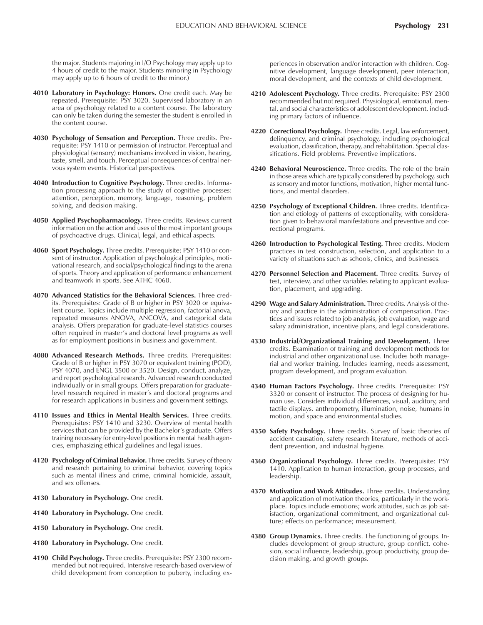the major. Students majoring in I/O Psychology may apply up to 4 hours of credit to the major. Students minoring in Psychology may apply up to 6 hours of credit to the minor.)

- **4010 Laboratory in Psychology: Honors.** One credit each. May be repeated. Prerequisite: PSY 3020. Supervised laboratory in an area of psychology related to a content course. The laboratory can only be taken during the semester the student is enrolled in the content course.
- **4030 Psychology of Sensation and Perception.** Three credits. Prerequisite: PSY 1410 or permission of instructor. Perceptual and physiological (sensory) mechanisms involved in vision, hearing, taste, smell, and touch. Perceptual consequences of central nervous system events. Historical perspectives.
- **4040 Introduction to Cognitive Psychology.** Three credits. Information processing approach to the study of cognitive processes: attention, perception, memory, language, reasoning, problem solving, and decision making.
- **4050 Applied Psychopharmacology.** Three credits. Reviews current information on the action and uses of the most important groups of psychoactive drugs. Clinical, legal, and ethical aspects.
- **4060 Sport Psychology.** Three credits. Prerequisite: PSY 1410 or consent of instructor. Application of psychological principles, motivational research, and social/psychological findings to the arena of sports. Theory and application of performance enhancement and teamwork in sports. See ATHC 4060.
- **4070 Advanced Statistics for the Behavioral Sciences.** Three credits. Prerequisites: Grade of B or higher in PSY 3020 or equivalent course. Topics include multiple regression, factorial anova, repeated measures ANOVA, ANCOVA, and categorical data analysis. Offers preparation for graduate-level statistics courses often required in master's and doctoral level programs as well as for employment positions in business and government.
- **4080 Advanced Research Methods.** Three credits. Prerequisites: Grade of B or higher in PSY 3070 or equivalent training (POD), PSY 4070, and ENGL 3500 or 3520. Design, conduct, analyze, and report psychological research. Advanced research conducted individually or in small groups. Offers preparation for graduatelevel research required in master's and doctoral programs and for research applications in business and government settings.
- **4110 Issues and Ethics in Mental Health Services.** Three credits. Prerequisites: PSY 1410 and 3230. Overview of mental health services that can be provided by the Bachelor's graduate. Offers training necessary for entry-level positions in mental health agencies, emphasizing ethical guidelines and legal issues.
- **4120 Psychology of Criminal Behavior.** Three credits. Survey of theory and research pertaining to criminal behavior, covering topics such as mental illness and crime, criminal homicide, assault, and sex offenses.
- **4130 Laboratory in Psychology.** One credit.
- **4140 Laboratory in Psychology.** One credit.
- **4150 Laboratory in Psychology.** One credit.
- **4180 Laboratory in Psychology.** One credit.
- **4190 Child Psychology.** Three credits. Prerequisite: PSY 2300 recommended but not required. Intensive research-based overview of child development from conception to puberty, including ex-

periences in observation and/or interaction with children. Cognitive development, language development, peer interaction, moral development, and the contexts of child development.

- **4210 Adolescent Psychology.** Three credits. Prerequisite: PSY 2300 recommended but not required. Physiological, emotional, mental, and social characteristics of adolescent development, including primary factors of influence.
- **4220 Correctional Psychology.** Three credits. Legal, law enforcement, delinquency, and criminal psychology, including psychological evaluation, classification, therapy, and rehabilitation. Special classifications. Field problems. Preventive implications.
- **4240 Behavioral Neuroscience.** Three credits. The role of the brain in those areas which are typically considered by psychology, such as sensory and motor functions, motivation, higher mental functions, and mental disorders.
- **4250 Psychology of Exceptional Children.** Three credits. Identification and etiology of patterns of exceptionality, with consideration given to behavioral manifestations and preventive and correctional programs.
- **4260 Introduction to Psychological Testing.** Three credits. Modern practices in test construction, selection, and application to a variety of situations such as schools, clinics, and businesses.
- **4270 Personnel Selection and Placement.** Three credits. Survey of test, interview, and other variables relating to applicant evaluation, placement, and upgrading.
- **4290 Wage and Salary Administration.** Three credits. Analysis of theory and practice in the administration of compensation. Practices and issues related to job analysis, job evaluation, wage and salary administration, incentive plans, and legal considerations.
- **4330 Industrial/Organizational Training and Development.** Three credits. Examination of training and development methods for industrial and other organizational use. Includes both managerial and worker training. Includes learning, needs assessment, program development, and program evaluation.
- **4340 Human Factors Psychology.** Three credits. Prerequisite: PSY 3320 or consent of instructor. The process of designing for human use. Considers individual differences, visual, auditory, and tactile displays, anthropometry, illumination, noise, humans in motion, and space and environmental studies.
- **4350 Safety Psychology.** Three credits. Survey of basic theories of accident causation, safety research literature, methods of accident prevention, and industrial hygiene.
- **4360 Organizational Psychology.** Three credits. Prerequisite: PSY 1410. Application to human interaction, group processes, and leadership.
- **4370 Motivation and Work Attitudes.** Three credits. Understanding and application of motivation theories, particularly in the workplace. Topics include emotions; work attitudes, such as job satisfaction, organizational commitment, and organizational culture; effects on performance; measurement.
- **4380 Group Dynamics.** Three credits. The functioning of groups. Includes development of group structure, group conflict, cohesion, social influence, leadership, group productivity, group decision making, and growth groups.